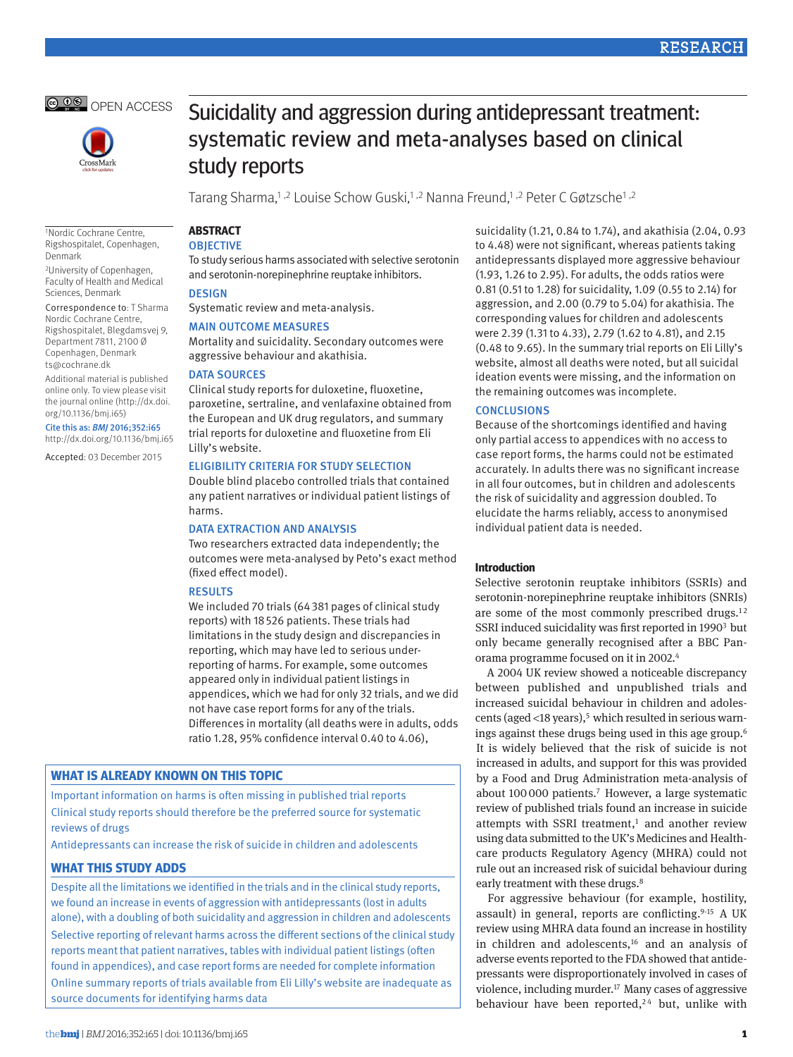



Suicidality and aggression during antidepressant treatment: systematic review and meta-analyses based on clinical study reports

Tarang Sharma,<sup>1,2</sup> Louise Schow Guski,<sup>1,2</sup> Nanna Freund,<sup>1,2</sup> Peter C Gøtzsche<sup>1,2</sup>

1Nordic Cochrane Centre, Rigshospitalet, Copenhagen, Denmark

2University of Copenhagen, Faculty of Health and Medical Sciences, Denmark

Correspondence to: T Sharma Nordic Cochrane Centre, Rigshospitalet, Blegdamsvej 9, Department 7811, 2100 Ø Copenhagen, Denmark ts@cochrane.dk

Additional material is published online only. To view please visit the journal online (http://dx.doi. org/10.1136/bmj.i65)

#### Cite this as: *BMJ* 2016;352:i65

http://dx.doi.org/10.1136/bmj.i65

Accepted: 03 December 2015

**ABSTRACT**

# **OBJECTIVE**

To study serious harms associated with selective serotonin and serotonin-norepinephrine reuptake inhibitors.

### **DESIGN**

Systematic review and meta-analysis.

### Main outcome measures

Mortality and suicidality. Secondary outcomes were aggressive behaviour and akathisia.

### DATA SOURCES

Clinical study reports for duloxetine, fluoxetine, paroxetine, sertraline, and venlafaxine obtained from the European and UK drug regulators, and summary trial reports for duloxetine and fluoxetine from Eli Lilly's website.

### Eligibility criteria for study selection

Double blind placebo controlled trials that contained any patient narratives or individual patient listings of harms.

#### Data extraction and analysis

Two researchers extracted data independently; the outcomes were meta-analysed by Peto's exact method (fixed effect model).

#### Results

We included 70 trials (64381 pages of clinical study reports) with 18526 patients. These trials had limitations in the study design and discrepancies in reporting, which may have led to serious underreporting of harms. For example, some outcomes appeared only in individual patient listings in appendices, which we had for only 32 trials, and we did not have case report forms for any of the trials. Differences in mortality (all deaths were in adults, odds ratio 1.28, 95% confidence interval 0.40 to 4.06),

### **What is already known on this topic**

Important information on harms is often missing in published trial reports Clinical study reports should therefore be the preferred source for systematic reviews of drugs

Antidepressants can increase the risk of suicide in children and adolescents

### **What this study adds**

Despite all the limitations we identified in the trials and in the clinical study reports, we found an increase in events of aggression with antidepressants (lost in adults alone), with a doubling of both suicidality and aggression in children and adolescents

Selective reporting of relevant harms across the different sections of the clinical study reports meant that patient narratives, tables with individual patient listings (often found in appendices), and case report forms are needed for complete information Online summary reports of trials available from Eli Lilly's website are inadequate as

source documents for identifying harms data

suicidality (1.21, 0.84 to 1.74), and akathisia (2.04, 0.93 to 4.48) were not significant, whereas patients taking antidepressants displayed more aggressive behaviour (1.93, 1.26 to 2.95). For adults, the odds ratios were 0.81 (0.51 to 1.28) for suicidality, 1.09 (0.55 to 2.14) for aggression, and 2.00 (0.79 to 5.04) for akathisia. The corresponding values for children and adolescents were 2.39 (1.31 to 4.33), 2.79 (1.62 to 4.81), and 2.15 (0.48 to 9.65). In the summary trial reports on Eli Lilly's website, almost all deaths were noted, but all suicidal ideation events were missing, and the information on the remaining outcomes was incomplete.

### **CONCLUSIONS**

Because of the shortcomings identified and having only partial access to appendices with no access to case report forms, the harms could not be estimated accurately. In adults there was no significant increase in all four outcomes, but in children and adolescents the risk of suicidality and aggression doubled. To elucidate the harms reliably, access to anonymised individual patient data is needed.

#### **Introduction**

Selective serotonin reuptake inhibitors (SSRIs) and serotonin-norepinephrine reuptake inhibitors (SNRIs) are some of the most commonly prescribed drugs. $12$ SSRI induced suicidality was first reported in 1990<sup>3</sup> but only became generally recognised after a BBC Panorama programme focused on it in 2002.4

A 2004 UK review showed a noticeable discrepancy between published and unpublished trials and increased suicidal behaviour in children and adolescents (aged <18 years), $5$  which resulted in serious warnings against these drugs being used in this age group.6 It is widely believed that the risk of suicide is not increased in adults, and support for this was provided by a Food and Drug Administration meta-analysis of about 100000 patients.7 However, a large systematic review of published trials found an increase in suicide attempts with SSRI treatment,<sup>1</sup> and another review using data submitted to the UK's Medicines and Healthcare products Regulatory Agency (MHRA) could not rule out an increased risk of suicidal behaviour during early treatment with these drugs.<sup>8</sup>

For aggressive behaviour (for example, hostility, assault) in general, reports are conflicting.<sup>9-15</sup> A UK review using MHRA data found an increase in hostility in children and adolescents,<sup>16</sup> and an analysis of adverse events reported to the FDA showed that antidepressants were disproportionately involved in cases of violence, including murder.<sup>17</sup> Many cases of aggressive behaviour have been reported,<sup>24</sup> but, unlike with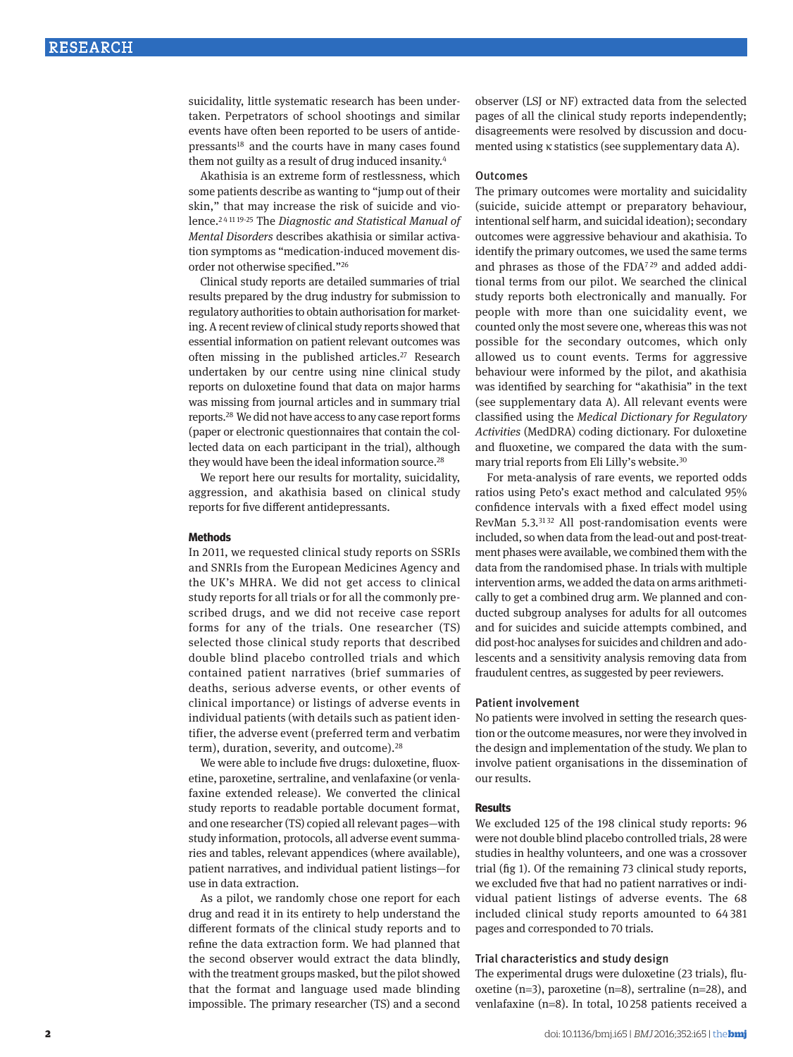suicidality, little systematic research has been undertaken. Perpetrators of school shootings and similar events have often been reported to be users of antidepressants<sup>18</sup> and the courts have in many cases found them not guilty as a result of drug induced insanity.4

Akathisia is an extreme form of restlessness, which some patients describe as wanting to "jump out of their skin," that may increase the risk of suicide and violence.2 <sup>4</sup> <sup>11</sup> 19-25 The *Diagnostic and Statistical Manual of Mental Disorders* describes akathisia or similar activation symptoms as "medication-induced movement disorder not otherwise specified."26

Clinical study reports are detailed summaries of trial results prepared by the drug industry for submission to regulatory authorities to obtain authorisation for marketing. A recent review of clinical study reports showed that essential information on patient relevant outcomes was often missing in the published articles.<sup>27</sup> Research undertaken by our centre using nine clinical study reports on duloxetine found that data on major harms was missing from journal articles and in summary trial reports.28 We did not have access to any case report forms (paper or electronic questionnaires that contain the collected data on each participant in the trial), although they would have been the ideal information source.<sup>28</sup>

We report here our results for mortality, suicidality, aggression, and akathisia based on clinical study reports for five different antidepressants.

#### **Methods**

In 2011, we requested clinical study reports on SSRIs and SNRIs from the European Medicines Agency and the UK's MHRA. We did not get access to clinical study reports for all trials or for all the commonly prescribed drugs, and we did not receive case report forms for any of the trials. One researcher (TS) selected those clinical study reports that described double blind placebo controlled trials and which contained patient narratives (brief summaries of deaths, serious adverse events, or other events of clinical importance) or listings of adverse events in individual patients (with details such as patient identifier, the adverse event (preferred term and verbatim term), duration, severity, and outcome).28

We were able to include five drugs: duloxetine, fluoxetine, paroxetine, sertraline, and venlafaxine (or venlafaxine extended release). We converted the clinical study reports to readable portable document format, and one researcher (TS) copied all relevant pages—with study information, protocols, all adverse event summaries and tables, relevant appendices (where available), patient narratives, and individual patient listings—for use in data extraction.

As a pilot, we randomly chose one report for each drug and read it in its entirety to help understand the different formats of the clinical study reports and to refine the data extraction form. We had planned that the second observer would extract the data blindly, with the treatment groups masked, but the pilot showed that the format and language used made blinding impossible. The primary researcher (TS) and a second observer (LSJ or NF) extracted data from the selected pages of all the clinical study reports independently; disagreements were resolved by discussion and documented using κ statistics (see supplementary data A).

#### **Outcomes**

The primary outcomes were mortality and suicidality (suicide, suicide attempt or preparatory behaviour, intentional self harm, and suicidal ideation); secondary outcomes were aggressive behaviour and akathisia. To identify the primary outcomes, we used the same terms and phrases as those of the FDA<sup>729</sup> and added additional terms from our pilot. We searched the clinical study reports both electronically and manually. For people with more than one suicidality event, we counted only the most severe one, whereas this was not possible for the secondary outcomes, which only allowed us to count events. Terms for aggressive behaviour were informed by the pilot, and akathisia was identified by searching for "akathisia" in the text (see supplementary data A). All relevant events were classified using the *Medical Dictionary for Regulatory Activities* (MedDRA) coding dictionary. For duloxetine and fluoxetine, we compared the data with the summary trial reports from Eli Lilly's website.30

For meta-analysis of rare events, we reported odds ratios using Peto's exact method and calculated 95% confidence intervals with a fixed effect model using RevMan 5.3.<sup>3132</sup> All post-randomisation events were included, so when data from the lead-out and post-treatment phases were available, we combined them with the data from the randomised phase. In trials with multiple intervention arms, we added the data on arms arithmetically to get a combined drug arm. We planned and conducted subgroup analyses for adults for all outcomes and for suicides and suicide attempts combined, and did post-hoc analyses for suicides and children and adolescents and a sensitivity analysis removing data from fraudulent centres, as suggested by peer reviewers.

#### Patient involvement

No patients were involved in setting the research question or the outcome measures, nor were they involved in the design and implementation of the study. We plan to involve patient organisations in the dissemination of our results.

#### **Results**

We excluded 125 of the 198 clinical study reports: 96 were not double blind placebo controlled trials, 28 were studies in healthy volunteers, and one was a crossover trial (fig 1). Of the remaining 73 clinical study reports, we excluded five that had no patient narratives or individual patient listings of adverse events. The 68 included clinical study reports amounted to 64 381 pages and corresponded to 70 trials.

### Trial characteristics and study design

The experimental drugs were duloxetine (23 trials), fluoxetine (n=3), paroxetine (n=8), sertraline (n=28), and venlafaxine (n=8). In total, 10258 patients received a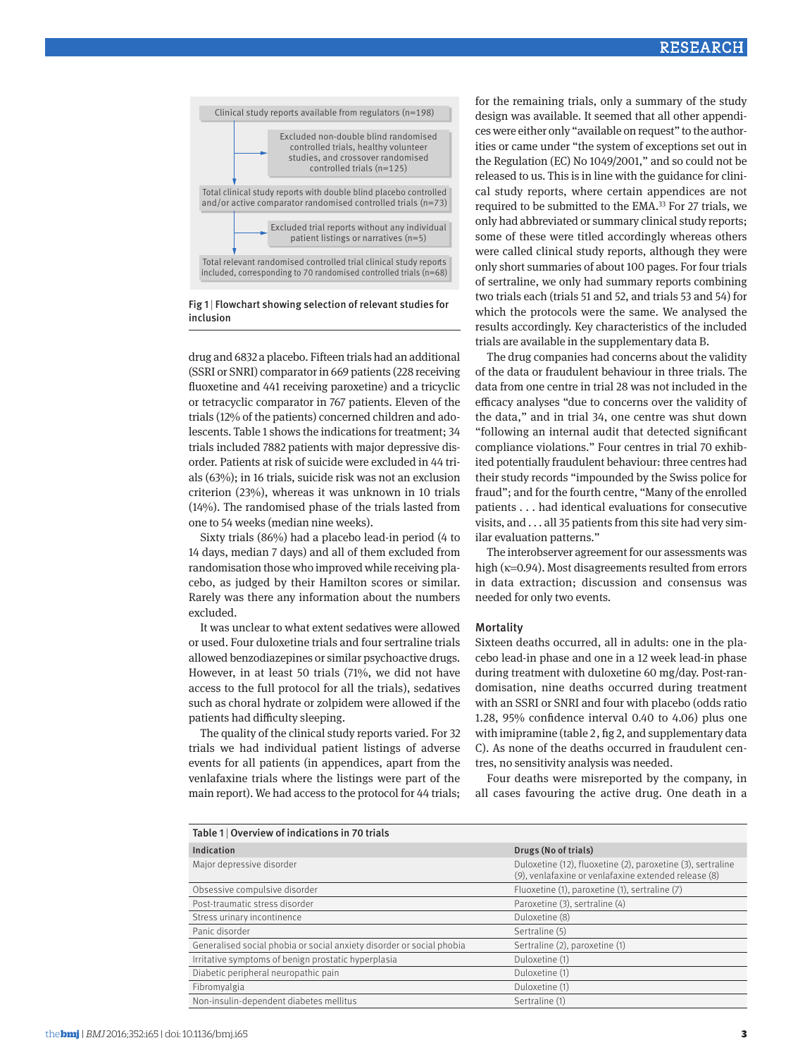

Fig 1 | Flowchart showing selection of relevant studies for inclusion

drug and 6832 a placebo. Fifteen trials had an additional (SSRI or SNRI) comparator in 669 patients (228 receiving fluoxetine and 441 receiving paroxetine) and a tricyclic or tetracyclic comparator in 767 patients. Eleven of the trials (12% of the patients) concerned children and adolescents. Table 1 shows the indications for treatment; 34 trials included 7882 patients with major depressive disorder. Patients at risk of suicide were excluded in 44 trials (63%); in 16 trials, suicide risk was not an exclusion criterion (23%), whereas it was unknown in 10 trials (14%). The randomised phase of the trials lasted from one to 54 weeks (median nine weeks).

Sixty trials (86%) had a placebo lead-in period (4 to 14 days, median 7 days) and all of them excluded from randomisation those who improved while receiving placebo, as judged by their Hamilton scores or similar. Rarely was there any information about the numbers excluded.

It was unclear to what extent sedatives were allowed or used. Four duloxetine trials and four sertraline trials allowed benzodiazepines or similar psychoactive drugs. However, in at least 50 trials (71%, we did not have access to the full protocol for all the trials), sedatives such as choral hydrate or zolpidem were allowed if the patients had difficulty sleeping.

The quality of the clinical study reports varied. For 32 trials we had individual patient listings of adverse events for all patients (in appendices, apart from the venlafaxine trials where the listings were part of the main report). We had access to the protocol for 44 trials; for the remaining trials, only a summary of the study design was available. It seemed that all other appendices were either only "available on request" to the authorities or came under "the system of exceptions set out in the Regulation (EC) No 1049/2001," and so could not be released to us. This is in line with the guidance for clinical study reports, where certain appendices are not required to be submitted to the EMA.33 For 27 trials, we only had abbreviated or summary clinical study reports; some of these were titled accordingly whereas others were called clinical study reports, although they were only short summaries of about 100 pages. For four trials of sertraline, we only had summary reports combining two trials each (trials 51 and 52, and trials 53 and 54) for which the protocols were the same. We analysed the results accordingly. Key characteristics of the included trials are available in the supplementary data B.

The drug companies had concerns about the validity of the data or fraudulent behaviour in three trials. The data from one centre in trial 28 was not included in the efficacy analyses "due to concerns over the validity of the data," and in trial 34, one centre was shut down "following an internal audit that detected significant compliance violations." Four centres in trial 70 exhibited potentially fraudulent behaviour: three centres had their study records "impounded by the Swiss police for fraud"; and for the fourth centre, "Many of the enrolled patients . . . had identical evaluations for consecutive visits, and . . . all 35 patients from this site had very similar evaluation patterns."

The interobserver agreement for our assessments was high (κ=0.94). Most disagreements resulted from errors in data extraction; discussion and consensus was needed for only two events.

#### **Mortality**

Sixteen deaths occurred, all in adults: one in the placebo lead-in phase and one in a 12 week lead-in phase during treatment with duloxetine 60 mg/day. Post-randomisation, nine deaths occurred during treatment with an SSRI or SNRI and four with placebo (odds ratio 1.28, 95% confidence interval 0.40 to 4.06) plus one with imipramine (table 2, fig 2, and supplementary data C). As none of the deaths occurred in fraudulent centres, no sensitivity analysis was needed.

Four deaths were misreported by the company, in all cases favouring the active drug. One death in a

| Table 1   Overview of indications in 70 trials                        |                                                                                                                     |  |  |  |  |  |  |
|-----------------------------------------------------------------------|---------------------------------------------------------------------------------------------------------------------|--|--|--|--|--|--|
| <b>Indication</b>                                                     | Drugs (No of trials)                                                                                                |  |  |  |  |  |  |
| Major depressive disorder                                             | Duloxetine (12), fluoxetine (2), paroxetine (3), sertraline<br>(9), venlafaxine or venlafaxine extended release (8) |  |  |  |  |  |  |
| Obsessive compulsive disorder                                         | Fluoxetine (1), paroxetine (1), sertraline (7)                                                                      |  |  |  |  |  |  |
| Post-traumatic stress disorder                                        | Paroxetine (3), sertraline (4)                                                                                      |  |  |  |  |  |  |
| Stress urinary incontinence                                           | Duloxetine (8)                                                                                                      |  |  |  |  |  |  |
| Panic disorder                                                        | Sertraline (5)                                                                                                      |  |  |  |  |  |  |
| Generalised social phobia or social anxiety disorder or social phobia | Sertraline (2), paroxetine (1)                                                                                      |  |  |  |  |  |  |
| Irritative symptoms of benign prostatic hyperplasia                   | Duloxetine (1)                                                                                                      |  |  |  |  |  |  |
| Diabetic peripheral neuropathic pain                                  | Duloxetine (1)                                                                                                      |  |  |  |  |  |  |
| Fibromyalgia                                                          | Duloxetine (1)                                                                                                      |  |  |  |  |  |  |
| Non-insulin-dependent diabetes mellitus                               | Sertraline (1)                                                                                                      |  |  |  |  |  |  |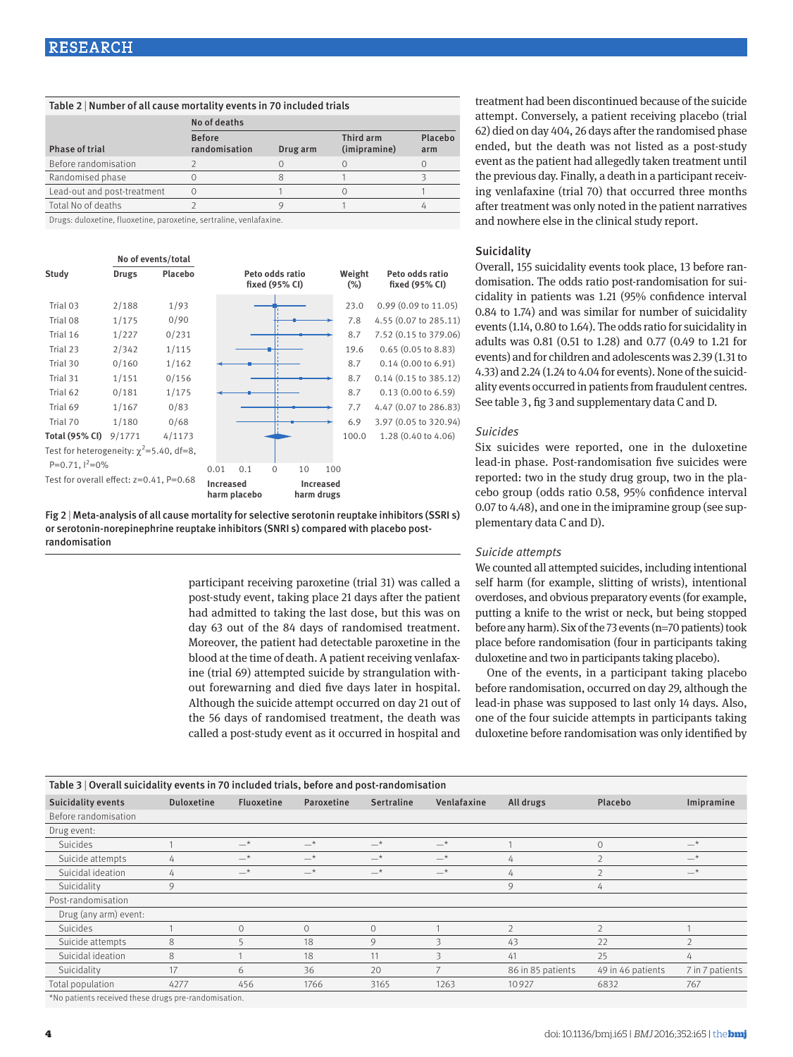| <b>Before</b><br>randomisation | Drug arm     | Third arm<br>(imipramine) | Placebo<br>arm                                                       |
|--------------------------------|--------------|---------------------------|----------------------------------------------------------------------|
|                                |              |                           |                                                                      |
|                                |              |                           |                                                                      |
| Ω                              |              |                           |                                                                      |
|                                |              |                           |                                                                      |
|                                | No of deaths |                           | Table 2   Number of all cause mortality events in 70 included trials |

Drugs: duloxetine, fluoxetine, paroxetine, sertraline, venlafaxine.

|                                               |        | No of events/total |              |     |                                   |                  |     |                  |                                   |
|-----------------------------------------------|--------|--------------------|--------------|-----|-----------------------------------|------------------|-----|------------------|-----------------------------------|
| Study                                         | Drugs  | Placebo            |              |     | Peto odds ratio<br>fixed (95% CI) |                  |     | Weight<br>$(\%)$ | Peto odds ratio<br>fixed (95% CI) |
| Trial 03                                      | 2/188  | 1/93               |              |     |                                   |                  |     | 23.0             | $0.99$ (0.09 to 11.05)            |
| Trial 08                                      | 1/175  | 0/90               |              |     |                                   |                  |     | 7.8              | 4.55 (0.07 to 285.11)             |
| Trial 16                                      | 1/227  | 0/231              |              |     |                                   |                  |     | 8.7              | 7.52 (0.15 to 379.06)             |
| Trial 23                                      | 2/342  | 1/115              |              |     |                                   |                  |     | 19.6             | 0.65(0.05 to 8.83)                |
| Trial 30                                      | 0/160  | 1/162              |              |     |                                   |                  |     | 8.7              | $0.14$ (0.00 to 6.91)             |
| Trial 31                                      | 1/151  | 0/156              |              |     |                                   |                  |     | 8.7              | $0.14$ $(0.15$ to 385.12)         |
| Trial 62                                      | 0/181  | 1/175              |              |     |                                   |                  |     | 8.7              | 0.13(0.00 to 6.59)                |
| Trial 69                                      | 1/167  | 0/83               |              |     |                                   |                  |     | 7.7              | 4.47 (0.07 to 286.83)             |
| Trial 70                                      | 1/180  | 0/68               |              |     |                                   |                  |     | 6.9              | 3.97 (0.05 to 320.94)             |
| <b>Total (95% CI)</b>                         | 9/1771 | 4/1173             |              |     |                                   |                  |     | 100.0            | 1.28 (0.40 to 4.06)               |
| Test for heterogeneity: $\chi^2$ =5.40, df=8, |        |                    |              |     |                                   |                  |     |                  |                                   |
| P=0.71, $1^2$ =0%                             |        |                    | 0.01         | 0.1 | $\Omega$                          | 10               | 100 |                  |                                   |
| Test for overall effect: $z=0.41$ , $P=0.68$  |        | <b>Increased</b>   | harm placebo |     | harm drugs                        | <b>Increased</b> |     |                  |                                   |

Fig 2 | Meta-analysis of all cause mortality for selective serotonin reuptake inhibitors (SSRI s) or serotonin-norepinephrine reuptake inhibitors (SNRI s) compared with placebo postrandomisation

> participant receiving paroxetine (trial 31) was called a post-study event, taking place 21 days after the patient had admitted to taking the last dose, but this was on day 63 out of the 84 days of randomised treatment. Moreover, the patient had detectable paroxetine in the blood at the time of death. A patient receiving venlafaxine (trial 69) attempted suicide by strangulation without forewarning and died five days later in hospital. Although the suicide attempt occurred on day 21 out of the 56 days of randomised treatment, the death was called a post-study event as it occurred in hospital and

treatment had been discontinued because of the suicide attempt. Conversely, a patient receiving placebo (trial 62) died on day 404, 26 days after the randomised phase ended, but the death was not listed as a post-study event as the patient had allegedly taken treatment until the previous day. Finally, a death in a participant receiving venlafaxine (trial 70) that occurred three months after treatment was only noted in the patient narratives and nowhere else in the clinical study report.

### **Suicidality**

Overall, 155 suicidality events took place, 13 before randomisation. The odds ratio post-randomisation for suicidality in patients was 1.21 (95% confidence interval 0.84 to 1.74) and was similar for number of suicidality events (1.14, 0.80 to 1.64). The odds ratio for suicidality in adults was 0.81 (0.51 to 1.28) and 0.77 (0.49 to 1.21 for events) and for children and adolescents was 2.39 (1.31 to 4.33) and 2.24 (1.24 to 4.04 for events). None of the suicidality events occurred in patients from fraudulent centres. See table 3, fig 3 and supplementary data C and D.

### *Suicides*

Six suicides were reported, one in the duloxetine lead-in phase. Post-randomisation five suicides were reported: two in the study drug group, two in the placebo group (odds ratio 0.58, 95% confidence interval 0.07 to 4.48), and one in the imipramine group (see supplementary data C and D).

### *Suicide attempts*

We counted all attempted suicides, including intentional self harm (for example, slitting of wrists), intentional overdoses, and obvious preparatory events (for example, putting a knife to the wrist or neck, but being stopped before any harm). Six of the 73 events (n=70 patients) took place before randomisation (four in participants taking duloxetine and two in participants taking placebo).

One of the events, in a participant taking placebo before randomisation, occurred on day 29, although the lead-in phase was supposed to last only 14 days. Also, one of the four suicide attempts in participants taking duloxetine before randomisation was only identified by

| Table 3   Overall suicidality events in 70 included trials, before and post-randomisation |                   |                   |            |                   |             |                   |                   |                 |  |
|-------------------------------------------------------------------------------------------|-------------------|-------------------|------------|-------------------|-------------|-------------------|-------------------|-----------------|--|
| Suicidality events                                                                        | <b>Duloxetine</b> | <b>Fluoxetine</b> | Paroxetine | <b>Sertraline</b> | Venlafaxine | All drugs         | Placebo           | Imipramine      |  |
| Before randomisation                                                                      |                   |                   |            |                   |             |                   |                   |                 |  |
| Drug event:                                                                               |                   |                   |            |                   |             |                   |                   |                 |  |
| Suicides                                                                                  |                   | $-*$              | $-*$       | $-*$              | $-*$        |                   | $\mathbf{0}$      | $-*$            |  |
| Suicide attempts                                                                          | 4                 | $-*$              | $-*$       | $-*$              | $-*$        | 4                 |                   | $-*$            |  |
| Suicidal ideation                                                                         | 4                 | $-*$              | $-*$       | $-*$              | $-*$        | 4                 |                   | $-*$            |  |
| Suicidality                                                                               | 9                 |                   |            |                   |             | 9                 | 4                 |                 |  |
| Post-randomisation                                                                        |                   |                   |            |                   |             |                   |                   |                 |  |
| Drug (any arm) event:                                                                     |                   |                   |            |                   |             |                   |                   |                 |  |
| Suicides                                                                                  |                   | $\Omega$          | $\Omega$   | $\mathcal{O}$     |             | $\mathfrak{D}$    | $\mathfrak{D}$    |                 |  |
| Suicide attempts                                                                          | 8                 |                   | 18         | 9                 |             | 43                | 22                |                 |  |
| Suicidal ideation                                                                         | 8                 |                   | 18         | 11                | 3           | 41                | 25                | 4               |  |
| Suicidality                                                                               | 17                | 6                 | 36         | 20                |             | 86 in 85 patients | 49 in 46 patients | 7 in 7 patients |  |
| Total population                                                                          | 4277              | 456               | 1766       | 3165              | 1263        | 10927             | 6832              | 767             |  |

\*No patients received these drugs pre-randomisation.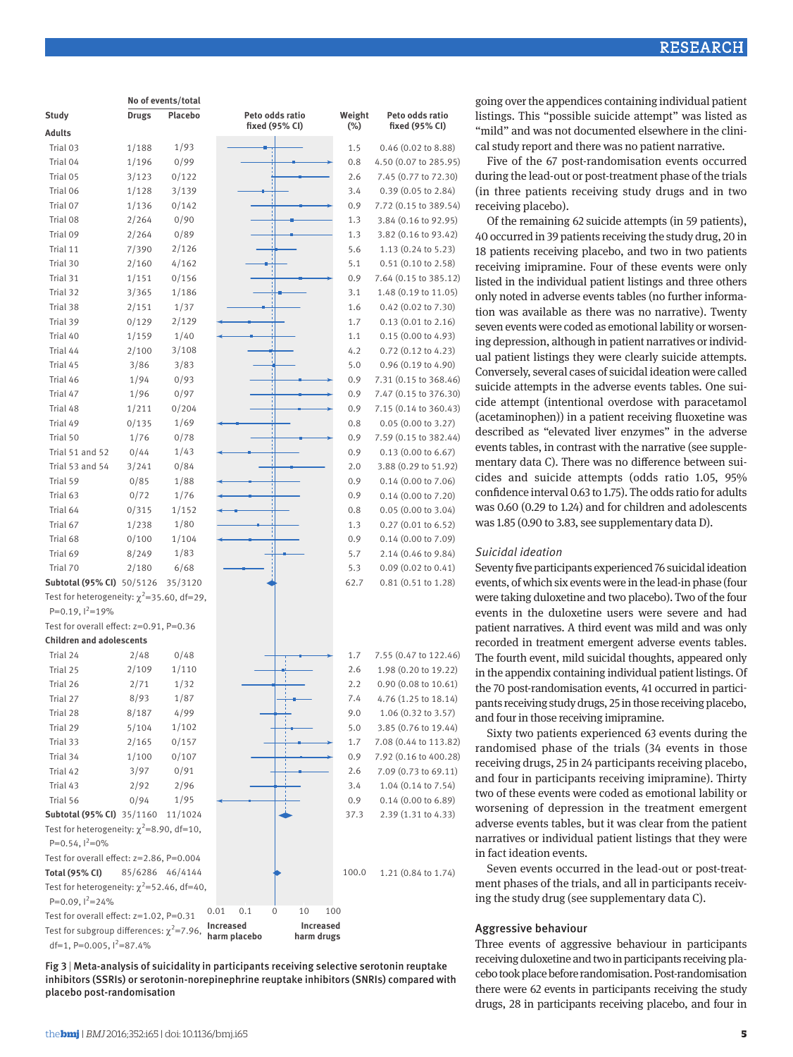| <b>RESEARCH</b> |  |  |
|-----------------|--|--|

|                                                 |              | No of events/total |                                                             |                  |                                   |
|-------------------------------------------------|--------------|--------------------|-------------------------------------------------------------|------------------|-----------------------------------|
| Study                                           | <b>Drugs</b> | Placebo            | Peto odds ratio<br>fixed (95% CI)                           | Weight<br>$(\%)$ | Peto odds ratio<br>fixed (95% CI) |
| <b>Adults</b>                                   |              |                    |                                                             |                  |                                   |
| Trial 03                                        | 1/188        | 1/93               |                                                             | 1.5              | $0.46$ (0.02 to 8.88)             |
| Trial 04                                        | 1/196        | 0/99               |                                                             | 0.8              | 4.50 (0.07 to 285.95)             |
| Trial 05                                        | 3/123        | 0/122              |                                                             | 2.6              | 7.45 (0.77 to 72.30)              |
| Trial 06                                        | 1/128        | 3/139              |                                                             | 3.4              | 0.39 (0.05 to 2.84)               |
| Trial 07                                        | 1/136        | 0/142              |                                                             | 0.9              | 7.72 (0.15 to 389.54)             |
| Trial 08                                        | 2/264        | 0/90               |                                                             | 1.3              | 3.84 (0.16 to 92.95)              |
| Trial 09                                        | 2/264        | 0/89               |                                                             | 1.3              | 3.82 (0.16 to 93.42)              |
| Trial 11                                        | 7/390        | 2/126              |                                                             | 5.6              | $1.13(0.24 \text{ to } 5.23)$     |
| Trial 30                                        | 2/160        | 4/162              |                                                             | 5.1              | $0.51$ (0.10 to 2.58)             |
| Trial 31                                        | 1/151        | 0/156              |                                                             | 0.9              | 7.64 (0.15 to 385.12)             |
| Trial 32                                        | 3/365        | 1/186              |                                                             | 3.1              | 1.48 (0.19 to 11.05)              |
| Trial 38                                        | 2/151        | 1/37               |                                                             | 1.6              | $0.42$ (0.02 to 7.30)             |
| Trial 39                                        | 0/129        | 2/129              |                                                             | 1.7              | 0.13(0.01 to 2.16)                |
| Trial 40                                        | 1/159        | 1/40               |                                                             |                  | 0.15(0.00 to 4.93)                |
|                                                 |              |                    |                                                             | 1.1              |                                   |
| Trial 44                                        | 2/100        | 3/108              |                                                             | 4.2              | $0.72$ $(0.12$ to 4.23)           |
| Trial 45                                        | 3/86         | 3/83               |                                                             | 5.0              | $0.96(0.19 \text{ to } 4.90)$     |
| Trial 46                                        | 1/94         | 0/93               |                                                             | 0.9              | 7.31 (0.15 to 368.46)             |
| Trial 47                                        | 1/96         | 0/97               |                                                             | 0.9              | 7.47 (0.15 to 376.30)             |
| Trial 48                                        | 1/211        | 0/204              |                                                             | 0.9              | 7.15 (0.14 to 360.43)             |
| Trial 49                                        | 0/135        | 1/69               |                                                             | 0.8              | 0.05(0.00 to 3.27)                |
| Trial 50                                        | 1/76         | 0/78               |                                                             | 0.9              | 7.59 (0.15 to 382.44)             |
| Trial 51 and 52                                 | 0/44         | 1/43               |                                                             | 0.9              | $0.13$ (0.00 to 6.67)             |
| Trial 53 and 54                                 | 3/241        | 0/84               |                                                             | 2.0              | 3.88 (0.29 to 51.92)              |
| Trial 59                                        | 0/85         | 1/88               |                                                             | 0.9              | $0.14$ (0.00 to 7.06)             |
| Trial 63                                        | 0/72         | 1/76               |                                                             | 0.9              | $0.14$ (0.00 to 7.20)             |
| Trial 64                                        | 0/315        | 1/152              |                                                             | 0.8              | 0.05(0.00 to 3.04)                |
| Trial 67                                        | 1/238        | 1/80               |                                                             | 1.3              | $0.27(0.01 \text{ to } 6.52)$     |
| Trial 68                                        | 0/100        | 1/104              |                                                             | 0.9              | $0.14$ (0.00 to 7.09)             |
| Trial 69                                        | 8/249        | 1/83               |                                                             | 5.7              | 2.14 (0.46 to 9.84)               |
| Trial 70                                        | 2/180        | 6/68               |                                                             | 5.3              | $0.09$ $(0.02$ to $0.41)$         |
| Subtotal (95% CI) 50/5126                       |              | 35/3120            |                                                             | 62.7             | $0.81$ $(0.51$ to $1.28)$         |
| Test for heterogeneity: $\chi^2$ =35.60, df=29, |              |                    |                                                             |                  |                                   |
| P=0.19, $1^2$ =19%                              |              |                    |                                                             |                  |                                   |
| Test for overall effect: z=0.91, P=0.36         |              |                    |                                                             |                  |                                   |
| <b>Children and adolescents</b>                 |              |                    |                                                             |                  |                                   |
| Trial 24                                        | 2/48         | 0/48               |                                                             | 1.7              | 7.55 (0.47 to 122.46)             |
| Trial 25                                        | 2/109        | 1/110              |                                                             | 2.6              | 1.98 (0.20 to 19.22)              |
| Trial 26                                        | 2/71         | 1/32               |                                                             | 2.2              | $0.90(0.08 \text{ to } 10.61)$    |
| Trial 27                                        | 8/93         | 1/87               |                                                             | 7.4              | 4.76 (1.25 to 18.14)              |
| Trial 28                                        | 8/187        | 4/99               |                                                             | 9.0              | 1.06 (0.32 to 3.57)               |
| Trial 29                                        | 5/104        | 1/102              |                                                             | 5.0              | 3.85 (0.76 to 19.44)              |
| Trial 33                                        | 2/165        | 0/157              |                                                             | 1.7              | 7.08 (0.44 to 113.82)             |
| Trial 34                                        | 1/100        | 0/107              |                                                             | 0.9              | 7.92 (0.16 to 400.28)             |
| Trial 42                                        | 3/97         | 0/91               |                                                             | 2.6              | 7.09 (0.73 to 69.11)              |
| Trial 43                                        | 2/92         | 2/96               |                                                             | 3.4              | $1.04(0.14 \text{ to } 7.54)$     |
| Trial 56                                        | 0/94         | 1/95               |                                                             | 0.9              | $0.14$ (0.00 to 6.89)             |
| Subtotal (95% CI) 35/1160                       |              | 11/1024            |                                                             | 37.3             | 2.39 (1.31 to 4.33)               |
| Test for heterogeneity: $\chi^2$ =8.90, df=10,  |              |                    |                                                             |                  |                                   |
| $P=0.54$ , $1^2=0\%$                            |              |                    |                                                             |                  |                                   |
| Test for overall effect: z=2.86, P=0.004        |              |                    |                                                             |                  |                                   |
| Total (95% CI)                                  |              | 85/6286 46/4144    |                                                             | 100.0            | 1.21 (0.84 to 1.74)               |
| Test for heterogeneity: $\chi^2$ =52.46, df=40, |              |                    |                                                             |                  |                                   |
| P=0.09, $1^2$ =24%                              |              |                    |                                                             |                  |                                   |
| Test for overall effect: z=1.02, P=0.31         |              |                    | 10<br>0.01<br>0.1<br>0<br>100                               |                  |                                   |
| Test for subgroup differences: $\chi^2$ =7.96,  |              |                    | Increased<br><b>Increased</b><br>harm placebo<br>harm drugs |                  |                                   |
| df=1, P=0.005, $1^2$ =87.4%                     |              |                    |                                                             |                  |                                   |

Fig 3 | Meta-analysis of suicidality in participants receiving selective serotonin reuptake inhibitors (SSRIs) or serotonin-norepinephrine reuptake inhibitors (SNRIs) compared with placebo post-randomisation

going over the appendices containing individual patient listings. This "possible suicide attempt" was listed as "mild" and was not documented elsewhere in the clinical study report and there was no patient narrative.

Five of the 67 post-randomisation events occurred during the lead-out or post-treatment phase of the trials (in three patients receiving study drugs and in two receiving placebo).

Of the remaining 62 suicide attempts (in 59 patients), 40 occurred in 39 patients receiving the study drug, 20 in 18 patients receiving placebo, and two in two patients receiving imipramine. Four of these events were only listed in the individual patient listings and three others only noted in adverse events tables (no further information was available as there was no narrative). Twenty seven events were coded as emotional lability or worsening depression, although in patient narratives or individual patient listings they were clearly suicide attempts. Conversely, several cases of suicidal ideation were called suicide attempts in the adverse events tables. One suicide attempt (intentional overdose with paracetamol (acetaminophen)) in a patient receiving fluoxetine was described as "elevated liver enzymes" in the adverse events tables, in contrast with the narrative (see supplementary data C). There was no difference between suicides and suicide attempts (odds ratio 1.05, 95% confidence interval 0.63 to 1.75). The odds ratio for adults was 0.60 (0.29 to 1.24) and for children and adolescents was 1.85 (0.90 to 3.83, see supplementary data D).

#### *Suicidal ideation*

Seventy five participants experienced 76 suicidal ideation events, of which six events were in the lead-in phase (four were taking duloxetine and two placebo). Two of the four events in the duloxetine users were severe and had patient narratives. A third event was mild and was only recorded in treatment emergent adverse events tables. The fourth event, mild suicidal thoughts, appeared only in the appendix containing individual patient listings. Of the 70 post-randomisation events, 41 occurred in participants receiving study drugs, 25 in those receiving placebo, and four in those receiving imipramine.

Sixty two patients experienced 63 events during the randomised phase of the trials (34 events in those receiving drugs, 25 in 24 participants receiving placebo, and four in participants receiving imipramine). Thirty two of these events were coded as emotional lability or worsening of depression in the treatment emergent adverse events tables, but it was clear from the patient narratives or individual patient listings that they were in fact ideation events.

Seven events occurred in the lead-out or post-treatment phases of the trials, and all in participants receiving the study drug (see supplementary data C).

### Aggressive behaviour

Three events of aggressive behaviour in participants receiving duloxetine and two in participants receiving placebo took place before randomisation. Post-randomisation there were 62 events in participants receiving the study drugs, 28 in participants receiving placebo, and four in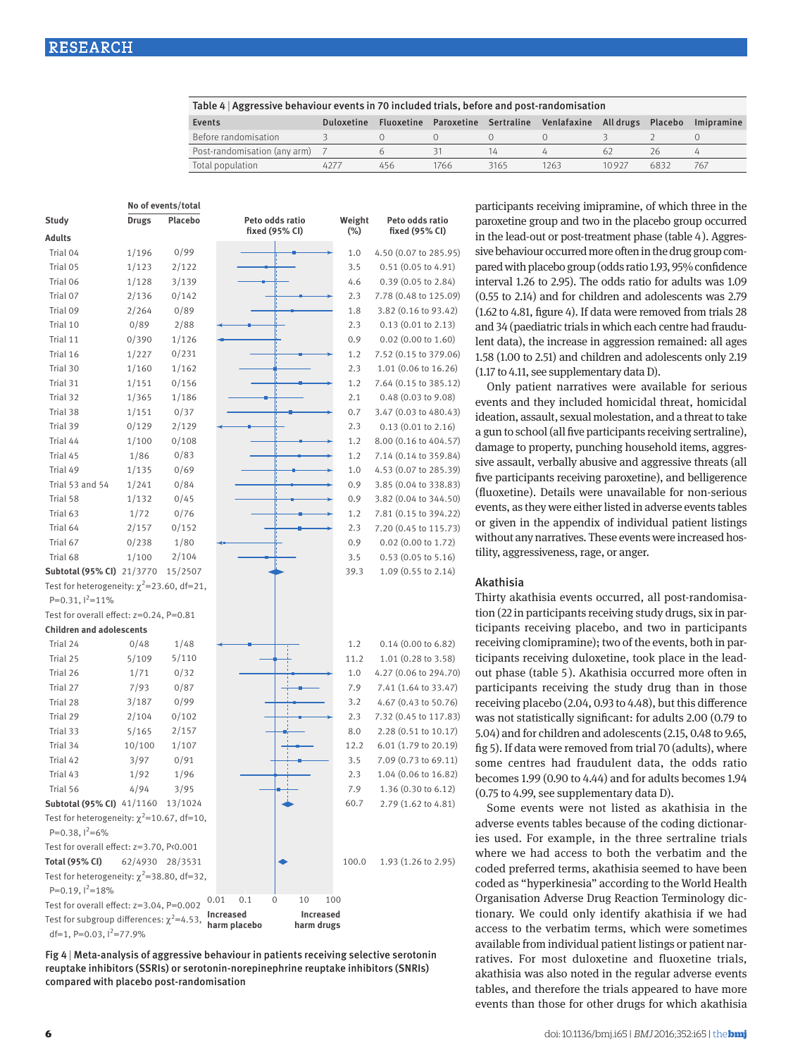| Table 4   Aggressive behaviour events in 70 included trials, before and post-randomisation |                   |     |                                  |      |             |                   |      |            |
|--------------------------------------------------------------------------------------------|-------------------|-----|----------------------------------|------|-------------|-------------------|------|------------|
| Events                                                                                     | <b>Duloxetine</b> |     | Fluoxetine Paroxetine Sertraline |      | Venlafaxine | All drugs Placebo |      | Imipramine |
| Before randomisation                                                                       |                   |     |                                  |      |             |                   |      |            |
| Post-randomisation (any arm) 7                                                             |                   |     |                                  | 14   |             | 62                | 26   |            |
| Total population                                                                           | 4277              | 456 | 1766                             | 3165 | 1263        | 10927             | 6832 | 767        |

|                                                 |                 | No of events/total |                                                             |        |                               | p              |
|-------------------------------------------------|-----------------|--------------------|-------------------------------------------------------------|--------|-------------------------------|----------------|
| Study                                           | <b>Drugs</b>    | Placebo            | Peto odds ratio                                             | Weight | Peto odds ratio               | p              |
| Adults                                          |                 |                    | fixed (95% CI)                                              | $(\%)$ | fixed (95% CI)                | in             |
| Trial 04                                        | 1/196           | 0/99               |                                                             | 1.0    | 4.50 (0.07 to 285.95)         | si             |
| Trial 05                                        | 1/123           | 2/122              |                                                             | 3.5    | $0.51$ $(0.05$ to 4.91)       | p              |
| Trial 06                                        | 1/128           | 3/139              |                                                             | 4.6    | $0.39(0.05 \text{ to } 2.84)$ | in             |
| Trial 07                                        | 2/136           | 0/142              |                                                             | 2.3    | 7.78 (0.48 to 125.09)         | (C             |
| Trial 09                                        | 2/264           | 0/89               |                                                             | 1.8    | 3.82 (0.16 to 93.42)          | (1)            |
| Trial 10                                        | 0/89            | 2/88               |                                                             | 2.3    | 0.13(0.01 to 2.13)            | aı             |
| Trial 11                                        | 0/390           | 1/126              |                                                             | 0.9    | 0.02 (0.00 to 1.60)           | le             |
| Trial 16                                        | 1/227           | 0/231              |                                                             | 1.2    | 7.52 (0.15 to 379.06)         | 1.             |
| Trial 30                                        | 1/160           | 1/162              |                                                             | 2.3    | 1.01 (0.06 to 16.26)          | (1)            |
| Trial 31                                        | 1/151           | 0/156              |                                                             | 1.2    | 7.64 (0.15 to 385.12)         |                |
| Trial 32                                        | 1/365           | 1/186              |                                                             | 2.1    | 0.48 (0.03 to 9.08)           | e۱             |
| Trial 38                                        | 1/151           | 0/37               |                                                             | 0.7    | 3.47 (0.03 to 480.43)         | id             |
| Trial 39                                        | 0/129           | 2/129              |                                                             | 2.3    | 0.13(0.01 to 2.16)            |                |
| Trial 44                                        | 1/100           | 0/108              |                                                             | 1.2    | 8.00 (0.16 to 404.57)         | a              |
| Trial 45                                        | 1/86            | 0/83               |                                                             | 1.2    | 7.14 (0.14 to 359.84)         | d              |
| Trial 49                                        | 1/135           | 0/69               |                                                             | 1.0    | 4.53 (0.07 to 285.39)         | si             |
| Trial 53 and 54                                 | 1/241           | 0/84               |                                                             | 0.9    | 3.85 (0.04 to 338.83)         | fı             |
| Trial 58                                        | 1/132           | 0/45               |                                                             | 0.9    | 3.82 (0.04 to 344.50)         | (f)            |
| Trial 63                                        | 1/72            | 0/76               |                                                             | 1.2    | 7.81 (0.15 to 394.22)         | e۱             |
| Trial 64                                        | 2/157           | 0/152              |                                                             | 2.3    | 7.20 (0.45 to 115.73)         | O1             |
| Trial 67                                        | 0/238           | 1/80               |                                                             | 0.9    | 0.02 (0.00 to 1.72)           | W              |
| Trial 68                                        | 1/100           | 2/104              |                                                             | 3.5    | $0.53$ $(0.05$ to $5.16)$     | ti.            |
| Subtotal (95% CI) 21/3770                       |                 | 15/2507            |                                                             | 39.3   | 1.09 (0.55 to 2.14)           |                |
| Test for heterogeneity: $\chi^2$ =23.60, df=21, |                 |                    |                                                             |        |                               | A              |
| P=0.31, $1^2$ =11%                              |                 |                    |                                                             |        |                               | T              |
| Test for overall effect: z=0.24, P=0.81         |                 |                    |                                                             |        |                               | ti             |
| <b>Children and adolescents</b>                 |                 |                    |                                                             |        |                               | ti             |
| Trial 24                                        | 0/48            | 1/48               |                                                             | 1.2    | $0.14$ (0.00 to 6.82)         | re             |
| Trial 25                                        | 5/109           | 5/110              |                                                             | 11.2   | 1.01 (0.28 to 3.58)           | ti             |
| Trial 26                                        | 1/71            | 0/32               |                                                             | 1.0    | 4.27 (0.06 to 294.70)         | O1             |
| Trial 27                                        | 7/93            | 0/87               |                                                             | 7.9    | 7.41 (1.64 to 33.47)          | p              |
| Trial 28                                        | 3/187           | 0/99               |                                                             | 3.2    | 4.67 (0.43 to 50.76)          | re             |
| Trial 29                                        | 2/104           | 0/102              |                                                             | 2.3    | 7.32 (0.45 to 117.83)         | W              |
| Trial 33                                        | 5/165           | 2/157              |                                                             | 8.0    | 2.28 (0.51 to 10.17)          | 5.             |
| Trial 34                                        | 10/100          | 1/107              |                                                             | 12.2   | 6.01 (1.79 to 20.19)          | fiş            |
| Trial 42                                        | 3/97            | 0/91               |                                                             | 3.5    | 7.09 (0.73 to 69.11)          | S0             |
| Trial 43                                        | 1/92            | 1/96               |                                                             | 2.3    | 1.04 (0.06 to 16.82)          | $\mathbf{b}$   |
| Trial 56                                        | 4/94            | 3/95               |                                                             | 7.9    | 1.36 (0.30 to 6.12)           | (              |
| Subtotal (95% CI) 41/1160 13/1024               |                 |                    |                                                             | 60.7   | 2.79 (1.62 to 4.81)           |                |
| Test for heterogeneity: $\chi^2$ =10.67, df=10, |                 |                    |                                                             |        |                               | a              |
| P=0.38, $1^2$ =6%                               |                 |                    |                                                             |        |                               | ie             |
| Test for overall effect: z=3.70, P<0.001        |                 |                    |                                                             |        |                               | W              |
| Total (95% CI)                                  | 62/4930 28/3531 |                    |                                                             | 100.0  | 1.93 (1.26 to 2.95)           |                |
| Test for heterogeneity: $\chi^2$ =38.80, df=32, |                 |                    |                                                             |        |                               | C <sub>(</sub> |
| P=0.19, $1^2$ =18%                              |                 |                    |                                                             |        |                               | C <sub>(</sub> |
| Test for overall effect: z=3.04, P=0.002        |                 |                    | 0.1<br>10<br>0.01<br>0                                      | 100    |                               | O              |
| Test for subgroup differences: $\chi^2$ =4.53,  |                 |                    | Increased<br><b>Increased</b><br>harm placebo<br>harm drugs |        |                               | ti             |
| df=1, P=0.03, $1^2$ =77.9%                      |                 |                    |                                                             |        |                               | a              |

Fig 4 | Meta-analysis of aggressive behaviour in patients receiving selective serotonin reuptake inhibitors (SSRIs) or serotonin-norepinephrine reuptake inhibitors (SNRIs) compared with placebo post-randomisation

articipants receiving imipramine, of which three in the paroxetine group and two in the placebo group occurred the lead-out or post-treatment phase (table 4). Aggresve behaviour occurred more often in the drug group compared with placebo group (odds ratio 1.93, 95% confidence terval 1.26 to 2.95). The odds ratio for adults was 1.09 0.55 to 2.14) and for children and adolescents was 2.79 (1.62 to 4.81, figure 4). If data were removed from trials 28 and 34 (paediatric trials in which each centre had frauduent data), the increase in aggression remained: all ages 1.58 (1.00 to 2.51) and children and adolescents only 2.19 (1.17 to 4.11, see supplementary data D).

Only patient narratives were available for serious vents and they included homicidal threat, homicidal leation, assault, sexual molestation, and a threat to take gun to school (all five participants receiving sertraline), amage to property, punching household items, aggresve assault, verbally abusive and aggressive threats (all ve participants receiving paroxetine), and belligerence uoxetine). Details were unavailable for non-serious vents, as they were either listed in adverse events tables given in the appendix of individual patient listings ithout any narratives. These events were increased hoslity, aggressiveness, rage, or anger.

### Akathisia

hirty akathisia events occurred, all post-randomisaon (22 in participants receiving study drugs, six in parcipants receiving placebo, and two in participants eceiving clomipramine); two of the events, both in parcipants receiving duloxetine, took place in the leadut phase (table 5). Akathisia occurred more often in articipants receiving the study drug than in those eceiving placebo (2.04, 0.93 to 4.48), but this difference ras not statistically significant: for adults 2.00 (0.79 to 5.04) and for children and adolescents (2.15, 0.48 to 9.65, g 5). If data were removed from trial 70 (adults), where ome centres had fraudulent data, the odds ratio becomes 1.99 (0.90 to 4.44) and for adults becomes 1.94 0.75 to 4.99, see supplementary data D).

Some events were not listed as akathisia in the dverse events tables because of the coding dictionares used. For example, in the three sertraline trials where we had access to both the verbatim and the oded preferred terms, akathisia seemed to have been oded as "hyperkinesia" according to the World Health rganisation Adverse Drug Reaction Terminology diconary. We could only identify akathisia if we had ccess to the verbatim terms, which were sometimes available from individual patient listings or patient narratives. For most duloxetine and fluoxetine trials, akathisia was also noted in the regular adverse events tables, and therefore the trials appeared to have more events than those for other drugs for which akathisia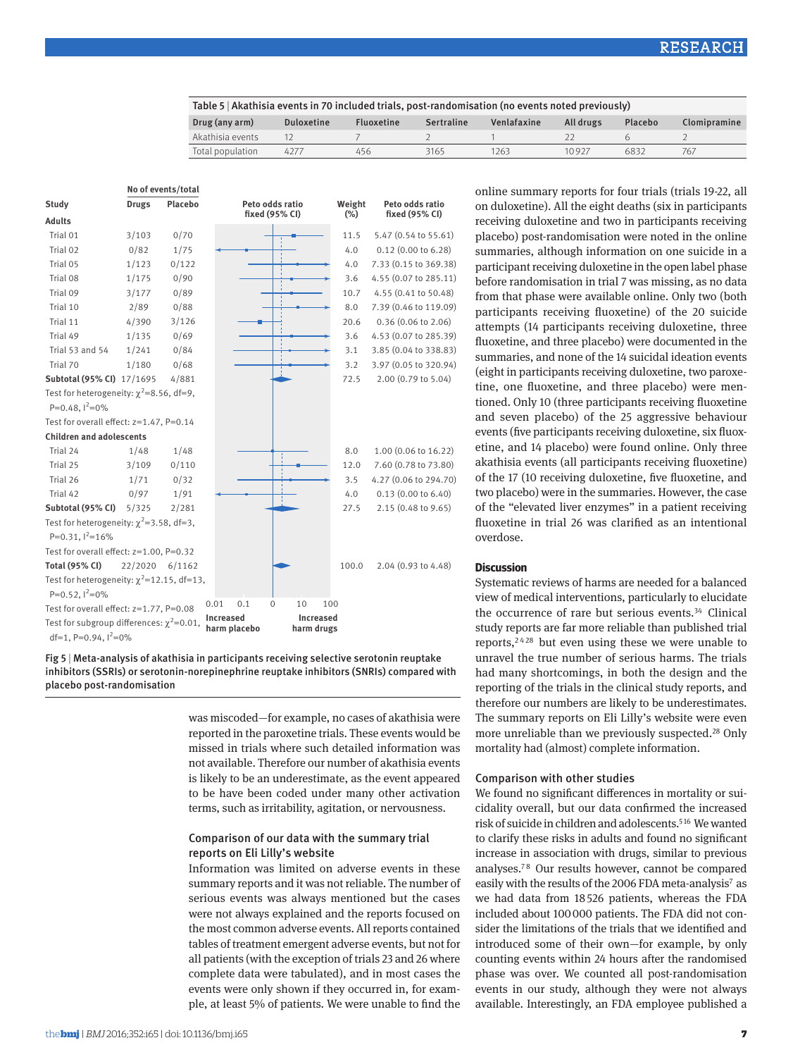| Table 5   Akathisia events in 70 included trials, post-randomisation (no events noted previously) |                   |                   |                   |             |           |         |              |
|---------------------------------------------------------------------------------------------------|-------------------|-------------------|-------------------|-------------|-----------|---------|--------------|
| Drug (any arm)                                                                                    | <b>Duloxetine</b> | <b>Fluoxetine</b> | <b>Sertraline</b> | Venlafaxine | All drugs | Placebo | Clomipramine |
| Akathisia events                                                                                  |                   |                   |                   |             |           |         |              |
| Total population                                                                                  | 4277              | 456               | 3165              | 1263        | 10927     | 6832    | 767          |

|                                                                           |              | No of events/total |                                  |                         |                       |
|---------------------------------------------------------------------------|--------------|--------------------|----------------------------------|-------------------------|-----------------------|
| Study                                                                     | <b>Drugs</b> | Placebo            | Peto odds ratio                  | Weight                  | Peto odds ratio       |
| <b>Adults</b>                                                             |              |                    | fixed (95% CI)                   | $(\%)$                  | fixed (95% CI)        |
| Trial 01                                                                  | 3/103        | 0/70               |                                  | 11.5                    | 5.47 (0.54 to 55.61)  |
| Trial 02                                                                  | 0/82         | 1/75               |                                  | 4.0                     | $0.12$ (0.00 to 6.28) |
| Trial 05                                                                  | 1/123        | 0/122              |                                  | 4.0                     | 7.33 (0.15 to 369.38) |
| Trial 08                                                                  | 1/175        | 0/90               |                                  | 3.6                     | 4.55 (0.07 to 285.11) |
| Trial 09                                                                  | 3/177        | 0/89               |                                  | 10.7                    | 4.55 (0.41 to 50.48)  |
| Trial 10                                                                  | 2/89         | 0/88               |                                  | 8.0                     | 7.39 (0.46 to 119.09) |
| Trial 11                                                                  | 4/390        | 3/126              |                                  | 20.6                    | $0.36$ (0.06 to 2.06) |
| Trial 49                                                                  | 1/135        | 0/69               |                                  | 3.6                     | 4.53 (0.07 to 285.39) |
| Trial 53 and 54                                                           | 1/241        | 0/84               |                                  | 3.1                     | 3.85 (0.04 to 338.83) |
| Trial 70                                                                  | 1/180        | 0/68               |                                  | 3.2                     | 3.97 (0.05 to 320.94) |
| Subtotal (95% CI) 17/1695                                                 |              | 4/881              |                                  | 72.5                    | 2.00 (0.79 to 5.04)   |
| Test for heterogeneity: $\chi^2$ =8.56, df=9,                             |              |                    |                                  |                         |                       |
| P=0.48, $1^2$ =0%                                                         |              |                    |                                  |                         |                       |
| Test for overall effect: $z=1.47$ , P=0.14                                |              |                    |                                  |                         |                       |
| <b>Children and adolescents</b>                                           |              |                    |                                  |                         |                       |
| Trial 24                                                                  | 1/48         | 1/48               |                                  | 8.0                     | 1.00 (0.06 to 16.22)  |
| Trial 25                                                                  | 3/109        | 0/110              |                                  | 12.0                    | 7.60 (0.78 to 73.80)  |
| Trial 26                                                                  | 1/71         | 0/32               |                                  | 3.5                     | 4.27 (0.06 to 294.70) |
| Trial 42                                                                  | 0/97         | 1/91               |                                  | 4.0                     | 0.13(0.00 to 6.40)    |
| Subtotal (95% CI)                                                         | 5/325        | 2/281              |                                  | 27.5                    | 2.15 (0.48 to 9.65)   |
| Test for heterogeneity: $\chi^2$ =3.58, df=3,                             |              |                    |                                  |                         |                       |
| P=0.31, $1^2$ =16%                                                        |              |                    |                                  |                         |                       |
| Test for overall effect: z=1.00, P=0.32                                   |              |                    |                                  |                         |                       |
| <b>Total (95% CI)</b>                                                     | 22/2020      | 6/1162             |                                  | 100.0                   | 2.04 (0.93 to 4.48)   |
| Test for heterogeneity: $\chi^2$ =12.15, df=13,                           |              |                    |                                  |                         |                       |
| P=0.52, $1^2$ =0%                                                         |              |                    |                                  |                         |                       |
| Test for overall effect: z=1.77, P=0.08                                   |              |                    | 0.1<br>0<br>0.01                 | 10<br>100               |                       |
| Test for subgroup differences: $\chi^2$ =0.01,<br>df=1, P=0.94, $1^2$ =0% |              |                    | <b>Increased</b><br>harm placebo | Increased<br>harm drugs |                       |

Fig 5 | Meta-analysis of akathisia in participants receiving selective serotonin reuptake inhibitors (SSRIs) or serotonin-norepinephrine reuptake inhibitors (SNRIs) compared with placebo post-randomisation

> was miscoded—for example, no cases of akathisia were reported in the paroxetine trials. These events would be missed in trials where such detailed information was not available. Therefore our number of akathisia events is likely to be an underestimate, as the event appeared to be have been coded under many other activation terms, such as irritability, agitation, or nervousness.

## Comparison of our data with the summary trial reports on Eli Lilly's website

Information was limited on adverse events in these summary reports and it was not reliable. The number of serious events was always mentioned but the cases were not always explained and the reports focused on the most common adverse events. All reports contained tables of treatment emergent adverse events, but not for all patients (with the exception of trials 23 and 26 where complete data were tabulated), and in most cases the events were only shown if they occurred in, for example, at least 5% of patients. We were unable to find the on duloxetine). All the eight deaths (six in participants receiving duloxetine and two in participants receiving placebo) post-randomisation were noted in the online summaries, although information on one suicide in a participant receiving duloxetine in the open label phase before randomisation in trial 7 was missing, as no data from that phase were available online. Only two (both participants receiving fluoxetine) of the 20 suicide attempts (14 participants receiving duloxetine, three fluoxetine, and three placebo) were documented in the summaries, and none of the 14 suicidal ideation events (eight in participants receiving duloxetine, two paroxetine, one fluoxetine, and three placebo) were mentioned. Only 10 (three participants receiving fluoxetine and seven placebo) of the 25 aggressive behaviour events (five participants receiving duloxetine, six fluoxetine, and 14 placebo) were found online. Only three akathisia events (all participants receiving fluoxetine) of the 17 (10 receiving duloxetine, five fluoxetine, and two placebo) were in the summaries. However, the case of the "elevated liver enzymes" in a patient receiving fluoxetine in trial 26 was clarified as an intentional overdose.

online summary reports for four trials (trials 19-22, all

#### **Discussion**

Systematic reviews of harms are needed for a balanced view of medical interventions, particularly to elucidate the occurrence of rare but serious events.<sup>34</sup> Clinical study reports are far more reliable than published trial reports,<sup>2428</sup> but even using these we were unable to unravel the true number of serious harms. The trials had many shortcomings, in both the design and the reporting of the trials in the clinical study reports, and therefore our numbers are likely to be underestimates. The summary reports on Eli Lilly's website were even more unreliable than we previously suspected.<sup>28</sup> Only mortality had (almost) complete information.

# Comparison with other studies

We found no significant differences in mortality or suicidality overall, but our data confirmed the increased risk of suicide in children and adolescents.<sup>516</sup> We wanted to clarify these risks in adults and found no significant increase in association with drugs, similar to previous analyses.7 8 Our results however, cannot be compared easily with the results of the 2006 FDA meta-analysis<sup>7</sup> as we had data from 18 526 patients, whereas the FDA included about 100000 patients. The FDA did not consider the limitations of the trials that we identified and introduced some of their own—for example, by only counting events within 24 hours after the randomised phase was over. We counted all post-randomisation events in our study, although they were not always available. Interestingly, an FDA employee published a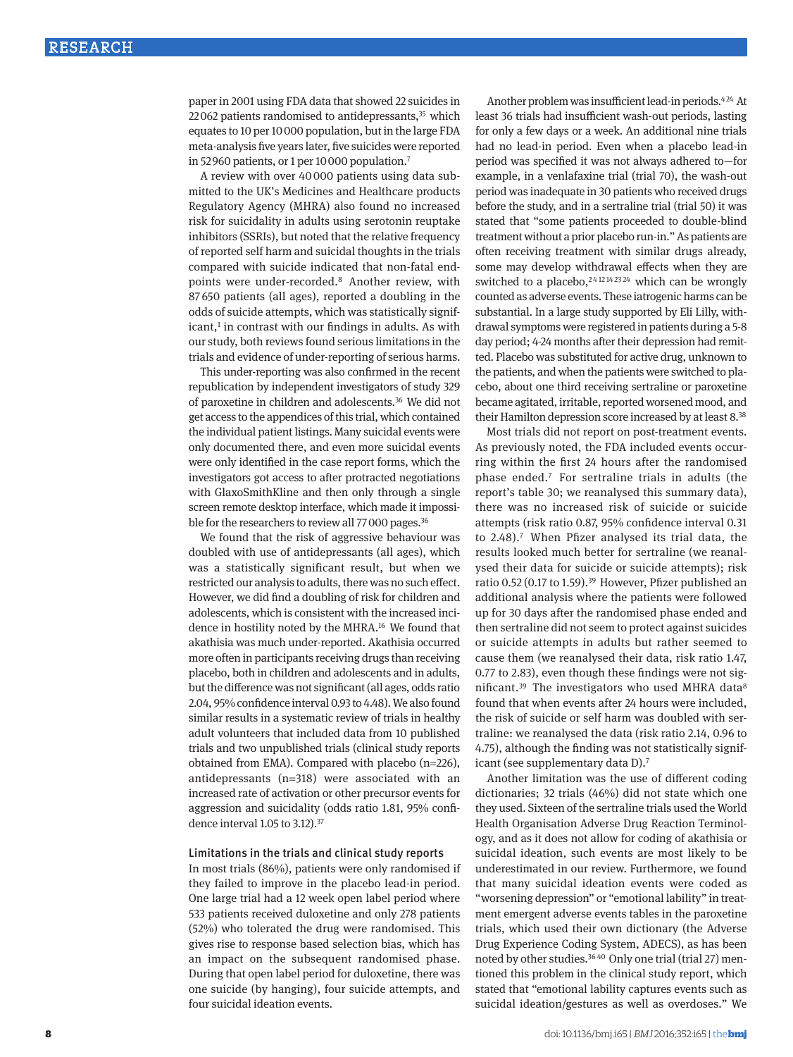paper in 2001 using FDA data that showed 22 suicides in 22062 patients randomised to antidepressants. $35$  which equates to 10 per 10000 population, but in the large FDA meta-analysis five years later, five suicides were reported in 52960 patients, or 1 per 10000 population.7

A review with over 40000 patients using data submitted to the UK's Medicines and Healthcare products Regulatory Agency (MHRA) also found no increased risk for suicidality in adults using serotonin reuptake inhibitors (SSRIs), but noted that the relative frequency of reported self harm and suicidal thoughts in the trials compared with suicide indicated that non-fatal endpoints were under-recorded.8 Another review, with 87 650 patients (all ages), reported a doubling in the odds of suicide attempts, which was statistically signif $icant<sub>1</sub>$  in contrast with our findings in adults. As with our study, both reviews found serious limitations in the trials and evidence of under-reporting of serious harms.

This under-reporting was also confirmed in the recent republication by independent investigators of study 329 of paroxetine in children and adolescents.36 We did not get access to the appendices of this trial, which contained the individual patient listings. Many suicidal events were only documented there, and even more suicidal events were only identified in the case report forms, which the investigators got access to after protracted negotiations with GlaxoSmithKline and then only through a single screen remote desktop interface, which made it impossible for the researchers to review all 77000 pages.<sup>36</sup>

We found that the risk of aggressive behaviour was doubled with use of antidepressants (all ages), which was a statistically significant result, but when we restricted our analysis to adults, there was no such effect. However, we did find a doubling of risk for children and adolescents, which is consistent with the increased incidence in hostility noted by the MHRA.16 We found that akathisia was much under-reported. Akathisia occurred more often in participants receiving drugs than receiving placebo, both in children and adolescents and in adults, but the difference was not significant (all ages, odds ratio 2.04, 95% confidence interval 0.93 to 4.48). We also found similar results in a systematic review of trials in healthy adult volunteers that included data from 10 published trials and two unpublished trials (clinical study reports obtained from EMA). Compared with placebo (n=226), antidepressants (n=318) were associated with an increased rate of activation or other precursor events for aggression and suicidality (odds ratio 1.81, 95% confidence interval 1.05 to 3.12).<sup>37</sup>

### Limitations in the trials and clinical study reports

In most trials (86%), patients were only randomised if they failed to improve in the placebo lead-in period. One large trial had a 12 week open label period where 533 patients received duloxetine and only 278 patients (52%) who tolerated the drug were randomised. This gives rise to response based selection bias, which has an impact on the subsequent randomised phase. During that open label period for duloxetine, there was one suicide (by hanging), four suicide attempts, and four suicidal ideation events.

Another problem was insufficient lead-in periods.<sup>424</sup> At least 36 trials had insufficient wash-out periods, lasting for only a few days or a week. An additional nine trials had no lead-in period. Even when a placebo lead-in period was specified it was not always adhered to—for example, in a venlafaxine trial (trial 70), the wash-out period was inadequate in 30 patients who received drugs before the study, and in a sertraline trial (trial 50) it was stated that "some patients proceeded to double-blind treatment without a prior placebo run-in." As patients are often receiving treatment with similar drugs already, some may develop withdrawal effects when they are switched to a placebo,  $2412142324$  which can be wrongly counted as adverse events. These iatrogenic harms can be substantial. In a large study supported by Eli Lilly, withdrawal symptoms were registered in patients during a 5-8 day period; 4-24 months after their depression had remitted. Placebo was substituted for active drug, unknown to the patients, and when the patients were switched to placebo, about one third receiving sertraline or paroxetine became agitated, irritable, reported worsened mood, and their Hamilton depression score increased by at least 8.38

Most trials did not report on post-treatment events. As previously noted, the FDA included events occurring within the first 24 hours after the randomised phase ended.7 For sertraline trials in adults (the report's table 30; we reanalysed this summary data), there was no increased risk of suicide or suicide attempts (risk ratio 0.87, 95% confidence interval 0.31 to 2.48).<sup>7</sup> When Pfizer analysed its trial data, the results looked much better for sertraline (we reanalysed their data for suicide or suicide attempts); risk ratio 0.52 (0.17 to 1.59).<sup>39</sup> However, Pfizer published an additional analysis where the patients were followed up for 30 days after the randomised phase ended and then sertraline did not seem to protect against suicides or suicide attempts in adults but rather seemed to cause them (we reanalysed their data, risk ratio 1.47, 0.77 to 2.83), even though these findings were not significant.<sup>39</sup> The investigators who used MHRA data<sup>8</sup> found that when events after 24 hours were included, the risk of suicide or self harm was doubled with sertraline: we reanalysed the data (risk ratio 2.14, 0.96 to 4.75), although the finding was not statistically significant (see supplementary data D).7

Another limitation was the use of different coding dictionaries; 32 trials (46%) did not state which one they used. Sixteen of the sertraline trials used the World Health Organisation Adverse Drug Reaction Terminology, and as it does not allow for coding of akathisia or suicidal ideation, such events are most likely to be underestimated in our review. Furthermore, we found that many suicidal ideation events were coded as "worsening depression" or "emotional lability" in treatment emergent adverse events tables in the paroxetine trials, which used their own dictionary (the Adverse Drug Experience Coding System, ADECS), as has been noted by other studies.36 40 Only one trial (trial 27) mentioned this problem in the clinical study report, which stated that "emotional lability captures events such as suicidal ideation/gestures as well as overdoses." We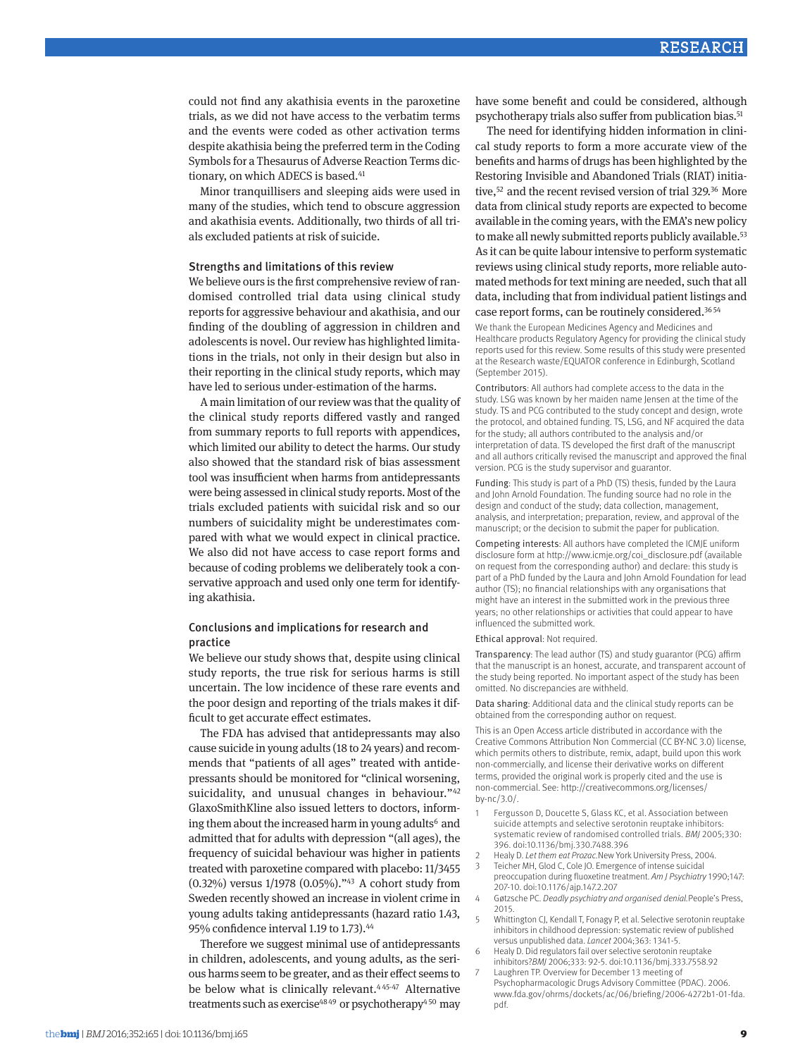could not find any akathisia events in the paroxetine trials, as we did not have access to the verbatim terms and the events were coded as other activation terms despite akathisia being the preferred term in the Coding Symbols for a Thesaurus of Adverse Reaction Terms dictionary, on which ADECS is based.<sup>41</sup>

Minor tranquillisers and sleeping aids were used in many of the studies, which tend to obscure aggression and akathisia events. Additionally, two thirds of all trials excluded patients at risk of suicide.

#### Strengths and limitations of this review

We believe ours is the first comprehensive review of randomised controlled trial data using clinical study reports for aggressive behaviour and akathisia, and our finding of the doubling of aggression in children and adolescents is novel. Our review has highlighted limitations in the trials, not only in their design but also in their reporting in the clinical study reports, which may have led to serious under-estimation of the harms.

A main limitation of our review was that the quality of the clinical study reports differed vastly and ranged from summary reports to full reports with appendices, which limited our ability to detect the harms. Our study also showed that the standard risk of bias assessment tool was insufficient when harms from antidepressants were being assessed in clinical study reports. Most of the trials excluded patients with suicidal risk and so our numbers of suicidality might be underestimates compared with what we would expect in clinical practice. We also did not have access to case report forms and because of coding problems we deliberately took a conservative approach and used only one term for identifying akathisia.

### Conclusions and implications for research and practice

We believe our study shows that, despite using clinical study reports, the true risk for serious harms is still uncertain. The low incidence of these rare events and the poor design and reporting of the trials makes it difficult to get accurate effect estimates.

The FDA has advised that antidepressants may also cause suicide in young adults (18 to 24 years) and recommends that "patients of all ages" treated with antidepressants should be monitored for "clinical worsening, suicidality, and unusual changes in behaviour."<sup>42</sup> GlaxoSmithKline also issued letters to doctors, informing them about the increased harm in young adults<sup>6</sup> and admitted that for adults with depression "(all ages), the frequency of suicidal behaviour was higher in patients treated with paroxetine compared with placebo: 11/3455 (0.32%) versus 1/1978 (0.05%)."43 A cohort study from Sweden recently showed an increase in violent crime in young adults taking antidepressants (hazard ratio 1.43, 95% confidence interval 1.19 to 1.73).44

Therefore we suggest minimal use of antidepressants in children, adolescents, and young adults, as the serious harms seem to be greater, and as their effect seems to be below what is clinically relevant.<sup>445-47</sup> Alternative treatments such as exercise<sup>48 49</sup> or psychotherapy<sup>4 50</sup> may have some benefit and could be considered, although psychotherapy trials also suffer from publication bias.51

The need for identifying hidden information in clinical study reports to form a more accurate view of the benefits and harms of drugs has been highlighted by the Restoring Invisible and Abandoned Trials (RIAT) initiative,<sup>52</sup> and the recent revised version of trial 329.<sup>36</sup> More data from clinical study reports are expected to become available in the coming years, with the EMA's new policy to make all newly submitted reports publicly available.<sup>53</sup> As it can be quite labour intensive to perform systematic reviews using clinical study reports, more reliable automated methods for text mining are needed, such that all data, including that from individual patient listings and case report forms, can be routinely considered.36 <sup>54</sup>

We thank the European Medicines Agency and Medicines and Healthcare products Regulatory Agency for providing the clinical study reports used for this review. Some results of this study were presented at the Research waste/EQUATOR conference in Edinburgh, Scotland (September 2015).

Contributors: All authors had complete access to the data in the study. LSG was known by her maiden name Jensen at the time of the study. TS and PCG contributed to the study concept and design, wrote the protocol, and obtained funding. TS, LSG, and NF acquired the data for the study; all authors contributed to the analysis and/or interpretation of data. TS developed the first draft of the manuscript and all authors critically revised the manuscript and approved the final version. PCG is the study supervisor and guarantor.

Funding: This study is part of a PhD (TS) thesis, funded by the Laura and John Arnold Foundation. The funding source had no role in the design and conduct of the study; data collection, management, analysis, and interpretation; preparation, review, and approval of the manuscript; or the decision to submit the paper for publication.

Competing interests: All authors have completed the ICMJE uniform disclosure form at http://www.icmje.org/coi\_disclosure.pdf (available on request from the corresponding author) and declare: this study is part of a PhD funded by the Laura and John Arnold Foundation for lead author (TS); no financial relationships with any organisations that might have an interest in the submitted work in the previous three years; no other relationships or activities that could appear to have influenced the submitted work.

Ethical approval: Not required.

Transparency: The lead author (TS) and study guarantor (PCG) affirm that the manuscript is an honest, accurate, and transparent account of the study being reported. No important aspect of the study has been omitted. No discrepancies are withheld.

Data sharing: Additional data and the clinical study reports can be obtained from the corresponding author on request.

This is an Open Access article distributed in accordance with the Creative Commons Attribution Non Commercial (CC BY-NC 3.0) license, which permits others to distribute, remix, adapt, build upon this work non-commercially, and license their derivative works on different terms, provided the original work is properly cited and the use is non-commercial. See: http://creativecommons.org/licenses/ by-nc/3.0/.

- Fergusson D, Doucette S, Glass KC, et al. Association between suicide attempts and selective serotonin reuptake inhibitors: systematic review of randomised controlled trials. *BMJ* 2005;330: 396. doi:10.1136/bmj.330.7488.396
- 2 Healy D. *Let them eat Prozac.*New York University Press, 2004. 3 Teicher MH, Glod C, Cole JO. Emergence of intense suicidal
- preoccupation during fluoxetine treatment. *Am J Psychiatry* 1990;147: 207-10. doi:10.1176/ajp.147.2.207
- 4 Gøtzsche PC. *Deadly psychiatry and organised denial.*People's Press, 2015.
- Whittington CJ, Kendall T, Fonagy P, et al. Selective serotonin reuptake inhibitors in childhood depression: systematic review of published versus unpublished data. *Lancet* 2004;363: 1341-5.
- Healy D. Did regulators fail over selective serotonin reuptake inhibitors?*BMJ* 2006;333: 92-5. doi:10.1136/bmj.333.7558.92 Laughren TP. Overview for December 13 meeting of
- Psychopharmacologic Drugs Advisory Committee (PDAC). 2006. www.fda.gov/ohrms/dockets/ac/06/briefing/2006-4272b1-01-fda. pdf.